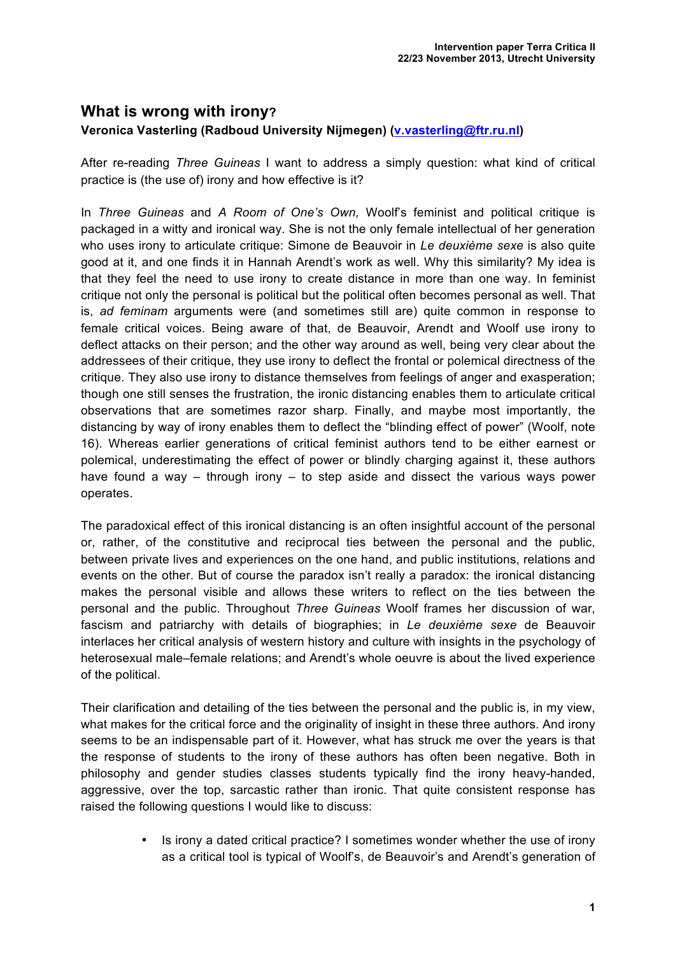## **What is wrong with irony? Veronica Vasterling (Radboud University Nijmegen) (v.vasterling@ftr.ru.nl)**

After re-reading *Three Guineas* I want to address a simply question: what kind of critical practice is (the use of) irony and how effective is it?

In *Three Guineas* and *A Room of One's Own,* Woolf's feminist and political critique is packaged in a witty and ironical way. She is not the only female intellectual of her generation who uses irony to articulate critique: Simone de Beauvoir in *Le deuxième sexe* is also quite good at it, and one finds it in Hannah Arendt's work as well. Why this similarity? My idea is that they feel the need to use irony to create distance in more than one way. In feminist critique not only the personal is political but the political often becomes personal as well. That is, *ad feminam* arguments were (and sometimes still are) quite common in response to female critical voices. Being aware of that, de Beauvoir, Arendt and Woolf use irony to deflect attacks on their person; and the other way around as well, being very clear about the addressees of their critique, they use irony to deflect the frontal or polemical directness of the critique. They also use irony to distance themselves from feelings of anger and exasperation; though one still senses the frustration, the ironic distancing enables them to articulate critical observations that are sometimes razor sharp. Finally, and maybe most importantly, the distancing by way of irony enables them to deflect the "blinding effect of power" (Woolf, note 16). Whereas earlier generations of critical feminist authors tend to be either earnest or polemical, underestimating the effect of power or blindly charging against it, these authors have found a way – through irony – to step aside and dissect the various ways power operates.

The paradoxical effect of this ironical distancing is an often insightful account of the personal or, rather, of the constitutive and reciprocal ties between the personal and the public, between private lives and experiences on the one hand, and public institutions, relations and events on the other. But of course the paradox isn't really a paradox: the ironical distancing makes the personal visible and allows these writers to reflect on the ties between the personal and the public. Throughout *Three Guineas* Woolf frames her discussion of war, fascism and patriarchy with details of biographies; in *Le deuxième sexe* de Beauvoir interlaces her critical analysis of western history and culture with insights in the psychology of heterosexual male–female relations; and Arendt's whole oeuvre is about the lived experience of the political.

Their clarification and detailing of the ties between the personal and the public is, in my view, what makes for the critical force and the originality of insight in these three authors. And irony seems to be an indispensable part of it. However, what has struck me over the years is that the response of students to the irony of these authors has often been negative. Both in philosophy and gender studies classes students typically find the irony heavy-handed, aggressive, over the top, sarcastic rather than ironic. That quite consistent response has raised the following questions I would like to discuss:

> • Is irony a dated critical practice? I sometimes wonder whether the use of irony as a critical tool is typical of Woolf's, de Beauvoir's and Arendt's generation of